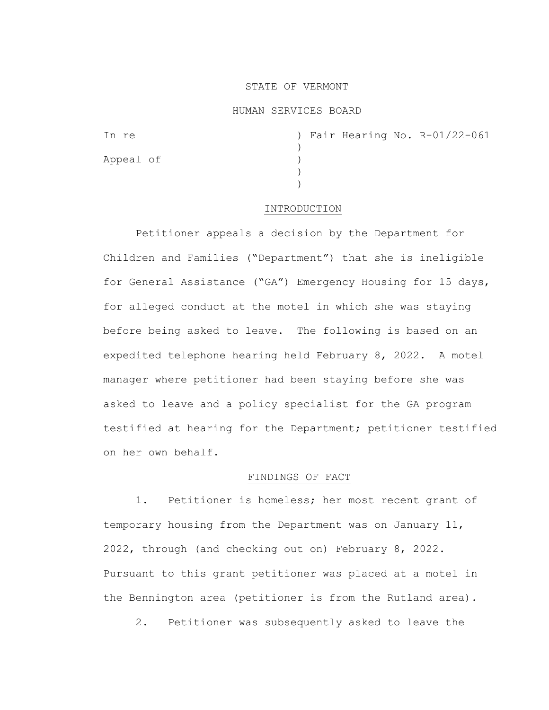# STATE OF VERMONT

### HUMAN SERVICES BOARD

| In re     |  |  | ) Fair Hearing No. R-01/22-061 |
|-----------|--|--|--------------------------------|
|           |  |  |                                |
| Appeal of |  |  |                                |
|           |  |  |                                |
|           |  |  |                                |

#### INTRODUCTION

Petitioner appeals a decision by the Department for Children and Families ("Department") that she is ineligible for General Assistance ("GA") Emergency Housing for 15 days, for alleged conduct at the motel in which she was staying before being asked to leave. The following is based on an expedited telephone hearing held February 8, 2022. A motel manager where petitioner had been staying before she was asked to leave and a policy specialist for the GA program testified at hearing for the Department; petitioner testified on her own behalf.

# FINDINGS OF FACT

1. Petitioner is homeless; her most recent grant of temporary housing from the Department was on January 11, 2022, through (and checking out on) February 8, 2022. Pursuant to this grant petitioner was placed at a motel in the Bennington area (petitioner is from the Rutland area).

2. Petitioner was subsequently asked to leave the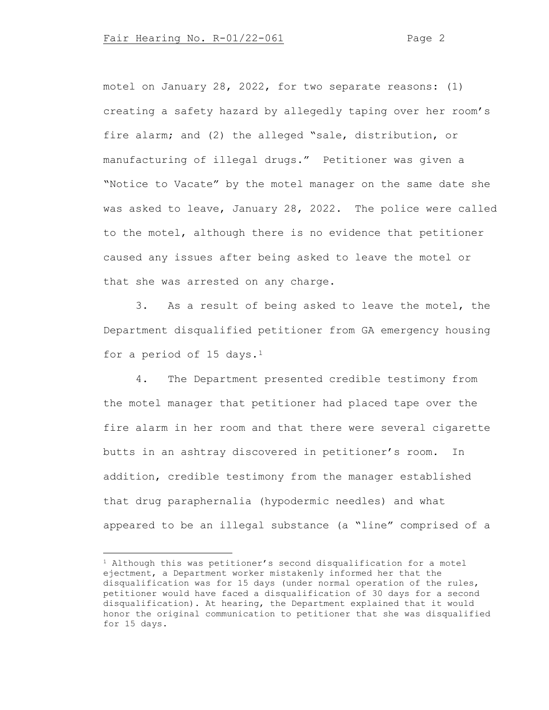motel on January 28, 2022, for two separate reasons: (1) creating a safety hazard by allegedly taping over her room's fire alarm; and (2) the alleged "sale, distribution, or manufacturing of illegal drugs." Petitioner was given a "Notice to Vacate" by the motel manager on the same date she was asked to leave, January 28, 2022. The police were called to the motel, although there is no evidence that petitioner caused any issues after being asked to leave the motel or that she was arrested on any charge.

3. As a result of being asked to leave the motel, the Department disqualified petitioner from GA emergency housing for a period of 15 days.<sup>1</sup>

4. The Department presented credible testimony from the motel manager that petitioner had placed tape over the fire alarm in her room and that there were several cigarette butts in an ashtray discovered in petitioner's room. In addition, credible testimony from the manager established that drug paraphernalia (hypodermic needles) and what appeared to be an illegal substance (a "line" comprised of a

<span id="page-1-0"></span> $1$  Although this was petitioner's second disqualification for a motel ejectment, a Department worker mistakenly informed her that the disqualification was for 15 days (under normal operation of the rules, petitioner would have faced a disqualification of 30 days for a second disqualification). At hearing, the Department explained that it would honor the original communication to petitioner that she was disqualified for 15 days.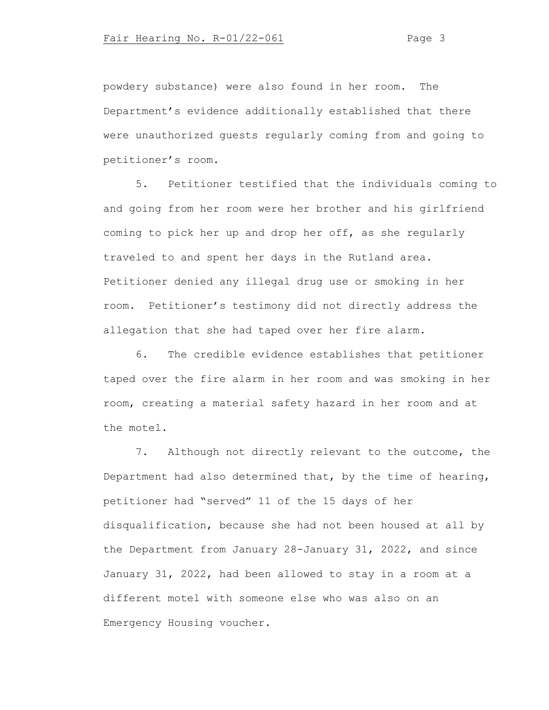powdery substance) were also found in her room. The Department's evidence additionally established that there were unauthorized guests regularly coming from and going to petitioner's room.

5. Petitioner testified that the individuals coming to and going from her room were her brother and his girlfriend coming to pick her up and drop her off, as she regularly traveled to and spent her days in the Rutland area. Petitioner denied any illegal drug use or smoking in her room. Petitioner's testimony did not directly address the allegation that she had taped over her fire alarm.

6. The credible evidence establishes that petitioner taped over the fire alarm in her room and was smoking in her room, creating a material safety hazard in her room and at the motel.

7. Although not directly relevant to the outcome, the Department had also determined that, by the time of hearing, petitioner had "served" 11 of the 15 days of her disqualification, because she had not been housed at all by the Department from January 28-January 31, 2022, and since January 31, 2022, had been allowed to stay in a room at a different motel with someone else who was also on an Emergency Housing voucher.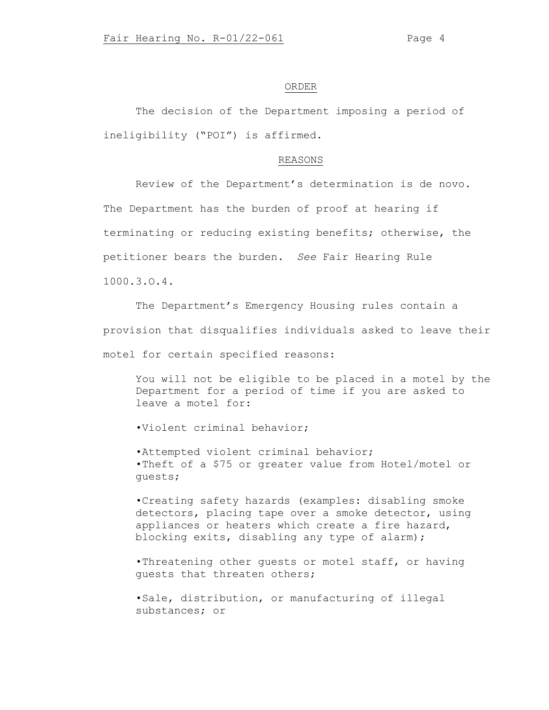#### ORDER

The decision of the Department imposing a period of ineligibility ("POI") is affirmed.

# REASONS

Review of the Department's determination is de novo. The Department has the burden of proof at hearing if terminating or reducing existing benefits; otherwise, the petitioner bears the burden. *See* Fair Hearing Rule 1000.3.O.4.

The Department's Emergency Housing rules contain a provision that disqualifies individuals asked to leave their motel for certain specified reasons:

You will not be eligible to be placed in a motel by the Department for a period of time if you are asked to leave a motel for:

•Violent criminal behavior;

•Attempted violent criminal behavior; •Theft of a \$75 or greater value from Hotel/motel or guests;

•Creating safety hazards (examples: disabling smoke detectors, placing tape over a smoke detector, using appliances or heaters which create a fire hazard, blocking exits, disabling any type of alarm);

•Threatening other guests or motel staff, or having guests that threaten others;

•Sale, distribution, or manufacturing of illegal substances; or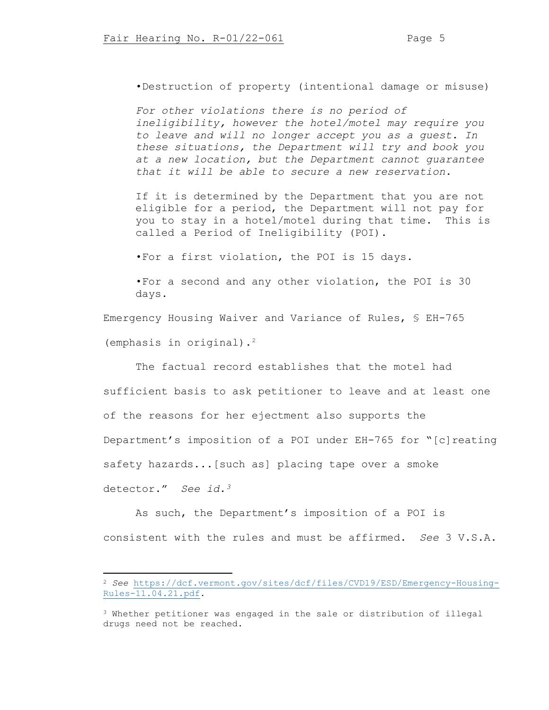•Destruction of property (intentional damage or misuse)

*For other violations there is no period of ineligibility, however the hotel/motel may require you to leave and will no longer accept you as a guest. In these situations, the Department will try and book you at a new location, but the Department cannot guarantee that it will be able to secure a new reservation.*

If it is determined by the Department that you are not eligible for a period, the Department will not pay for you to stay in a hotel/motel during that time. This is called a Period of Ineligibility (POI).

•For a first violation, the POI is 15 days.

•For a second and any other violation, the POI is 30 days.

Emergency Housing Waiver and Variance of Rules, § EH-765 (emphasis in original).[2](#page-4-0)

The factual record establishes that the motel had

sufficient basis to ask petitioner to leave and at least one of the reasons for her ejectment also supports the Department's imposition of a POI under EH-765 for "[c]reating safety hazards...[such as] placing tape over a smoke detector." *See id.[3](#page-4-1)*

As such, the Department's imposition of a POI is consistent with the rules and must be affirmed. *See* 3 V.S.A.

<span id="page-4-0"></span><sup>2</sup> *See* [https://dcf.vermont.gov/sites/dcf/files/CVD19/ESD/Emergency-Housing-](https://dcf.vermont.gov/sites/dcf/files/CVD19/ESD/Emergency-Housing-Rules-11.04.21.pdf)[Rules-11.04.21.pdf.](https://dcf.vermont.gov/sites/dcf/files/CVD19/ESD/Emergency-Housing-Rules-11.04.21.pdf)

<span id="page-4-1"></span><sup>3</sup> Whether petitioner was engaged in the sale or distribution of illegal drugs need not be reached.